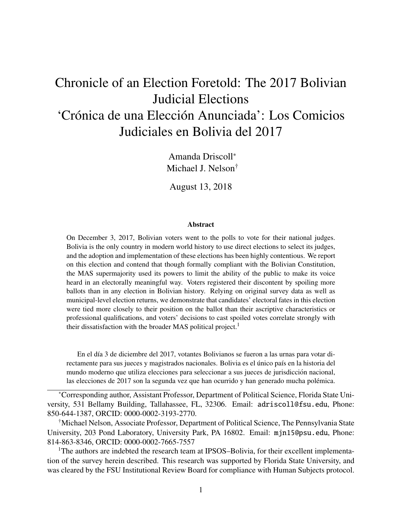# <span id="page-0-0"></span>Chronicle of an Election Foretold: The 2017 Bolivian Judicial Elections 'Crónica de una Elección Anunciada': Los Comicios Judiciales en Bolivia del 2017

Amanda Driscoll<sup>∗</sup> Michael J. Nelson†

August 13, 2018

#### **Abstract**

On December 3, 2017, Bolivian voters went to the polls to vote for their national judges. Bolivia is the only country in modern world history to use direct elections to select its judges, and the adoption and implementation of these elections has been highly contentious. We report on this election and contend that though formally compliant with the Bolivian Constitution, the MAS supermajority used its powers to limit the ability of the public to make its voice heard in an electorally meaningful way. Voters registered their discontent by spoiling more ballots than in any election in Bolivian history. Relying on original survey data as well as municipal-level election returns, we demonstrate that candidates' electoral fates in this election were tied more closely to their position on the ballot than their ascriptive characteristics or professional qualifications, and voters' decisions to cast spoiled votes correlate strongly with their dissatisfaction with the broader MAS political project.<sup>1</sup>

En el d´ıa 3 de diciembre del 2017, votantes Bolivianos se fueron a las urnas para votar directamente para sus jueces y magistrados nacionales. Bolivia es el único país en la historia del mundo moderno que utiliza elecciones para seleccionar a sus jueces de jurisdicción nacional, las elecciones de 2017 son la segunda vez que han ocurrido y han generado mucha polémica.

<sup>∗</sup>Corresponding author, Assistant Professor, Department of Political Science, Florida State University, 531 Bellamy Building, Tallahassee, FL, 32306. Email: adriscoll@fsu.edu, Phone: 850-644-1387, ORCID: 0000-0002-3193-2770.

†Michael Nelson, Associate Professor, Department of Political Science, The Pennsylvania State University, 203 Pond Laboratory, University Park, PA 16802. Email: mjn15@psu.edu, Phone: 814-863-8346, ORCID: 0000-0002-7665-7557

<sup>1</sup>The authors are indebted the research team at IPSOS–Bolivia, for their excellent implementation of the survey herein described. This research was supported by Florida State University, and was cleared by the FSU Institutional Review Board for compliance with Human Subjects protocol.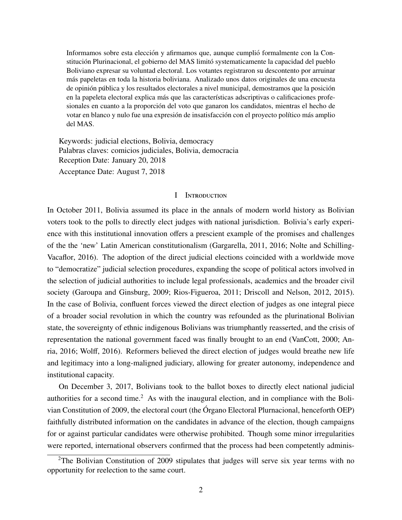Informamos sobre esta elección y afirmamos que, aunque cumplió formalmente con la Constitución Plurinacional, el gobierno del MAS limitó systematicamente la capacidad del pueblo Boliviano expresar su voluntad electoral. Los votantes registraron su descontento por arruinar más papeletas en toda la historia boliviana. Analizado unos datos originales de una encuesta de opinión pública y los resultados electorales a nivel municipal, demostramos que la posición en la papeleta electoral explica más que las características adscriptivas o calificaciones profesionales en cuanto a la proporción del voto que ganaron los candidatos, mientras el hecho de votar en blanco y nulo fue una expresión de insatisfacción con el proyecto político más amplio del MAS.

Keywords: judicial elections, Bolivia, democracy Palabras claves: comicios judiciales, Bolivia, democracia Reception Date: January 20, 2018 Acceptance Date: August 7, 2018

#### I INTRODUCTION

In October 2011, Bolivia assumed its place in the annals of modern world history as Bolivian voters took to the polls to directly elect judges with national jurisdiction. Bolivia's early experience with this institutional innovation offers a prescient example of the promises and challenges of the the 'new' Latin American constitutionalism [\(Gargarella,](#page-24-0) [2011,](#page-24-0) [2016;](#page-24-1) [Nolte and Schilling-](#page-25-0)[Vacaflor,](#page-25-0) [2016\)](#page-25-0). The adoption of the direct judicial elections coincided with a worldwide move to "democratize" judicial selection procedures, expanding the scope of political actors involved in the selection of judicial authorities to include legal professionals, academics and the broader civil society [\(Garoupa and Ginsburg,](#page-24-2) [2009;](#page-24-2) [Rios-Figueroa,](#page-26-0) [2011;](#page-26-0) [Driscoll and Nelson,](#page-23-0) [2012,](#page-23-0) [2015\)](#page-24-3). In the case of Bolivia, confluent forces viewed the direct election of judges as one integral piece of a broader social revolution in which the country was refounded as the plurinational Bolivian state, the sovereignty of ethnic indigenous Bolivians was triumphantly reasserted, and the crisis of representation the national government faced was finally brought to an end [\(VanCott,](#page-26-1) [2000;](#page-26-1) [An](#page-23-1)[ria,](#page-23-1) [2016;](#page-23-1) [Wol](#page-26-2)ff, [2016\)](#page-26-2). Reformers believed the direct election of judges would breathe new life and legitimacy into a long-maligned judiciary, allowing for greater autonomy, independence and institutional capacity.

On December 3, 2017, Bolivians took to the ballot boxes to directly elect national judicial authorities for a second time.<sup>[2](#page-0-0)</sup> As with the inaugural election, and in compliance with the Bolivian Constitution of 2009, the electoral court (the Órgano Electoral Plurnacional, henceforth OEP) faithfully distributed information on the candidates in advance of the election, though campaigns for or against particular candidates were otherwise prohibited. Though some minor irregularities were reported, international observers confirmed that the process had been competently adminis-

<sup>&</sup>lt;sup>2</sup>The Bolivian Constitution of 2009 stipulates that judges will serve six year terms with no opportunity for reelection to the same court.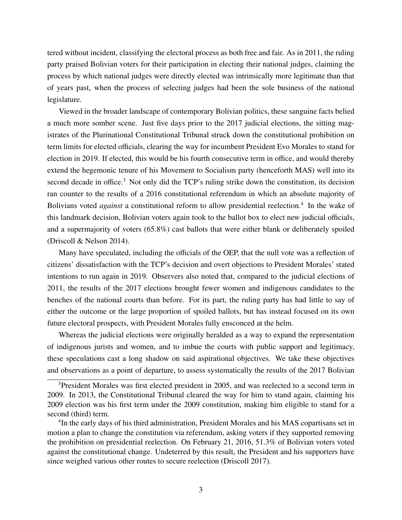tered without incident, classifying the electoral process as both free and fair. As in 2011, the ruling party praised Bolivian voters for their participation in electing their national judges, claiming the process by which national judges were directly elected was intrinsically more legitimate than that of years past, when the process of selecting judges had been the sole business of the national legislature.

Viewed in the broader landscape of contemporary Bolivian politics, these sanguine facts belied a much more somber scene. Just five days prior to the 2017 judicial elections, the sitting magistrates of the Plurinational Constitutional Tribunal struck down the constitutional prohibition on term limits for elected officials, clearing the way for incumbent President Evo Morales to stand for election in 2019. If elected, this would be his fourth consecutive term in office, and would thereby extend the hegemonic tenure of his Movement to Socialism party (henceforth MAS) well into its second decade in office.<sup>[3](#page-0-0)</sup> Not only did the TCP's ruling strike down the constitution, its decision ran counter to the results of a 2016 constitutional referendum in which an absolute majority of Bolivians voted *against* a constitutional reform to allow presidential reelection.<sup>[4](#page-0-0)</sup> In the wake of this landmark decision, Bolivian voters again took to the ballot box to elect new judicial officials, and a supermajority of voters (65.8%) cast ballots that were either blank or deliberately spoiled (Driscoll & Nelson 2014).

Many have speculated, including the officials of the OEP, that the null vote was a reflection of citizens' dissatisfaction with the TCP's decision and overt objections to President Morales' stated intentions to run again in 2019. Observers also noted that, compared to the judicial elections of 2011, the results of the 2017 elections brought fewer women and indigenous candidates to the benches of the national courts than before. For its part, the ruling party has had little to say of either the outcome or the large proportion of spoiled ballots, but has instead focused on its own future electoral prospects, with President Morales fully ensconced at the helm.

Whereas the judicial elections were originally heralded as a way to expand the representation of indigenous jurists and women, and to imbue the courts with public support and legitimacy, these speculations cast a long shadow on said aspirational objectives. We take these objectives and observations as a point of departure, to assess systematically the results of the 2017 Bolivian

<sup>&</sup>lt;sup>3</sup>President Morales was first elected president in 2005, and was reelected to a second term in 2009. In 2013, the Constitutional Tribunal cleared the way for him to stand again, claiming his 2009 election was his first term under the 2009 constitution, making him eligible to stand for a second (third) term.

<sup>&</sup>lt;sup>4</sup>In the early days of his third administration, President Morales and his MAS copartisans set in motion a plan to change the constitution via referendum, asking voters if they supported removing the prohibition on presidential reelection. On February 21, 2016, 51.3% of Bolivian voters voted against the constitutional change. Undeterred by this result, the President and his supporters have since weighed various other routes to secure reelection (Driscoll 2017).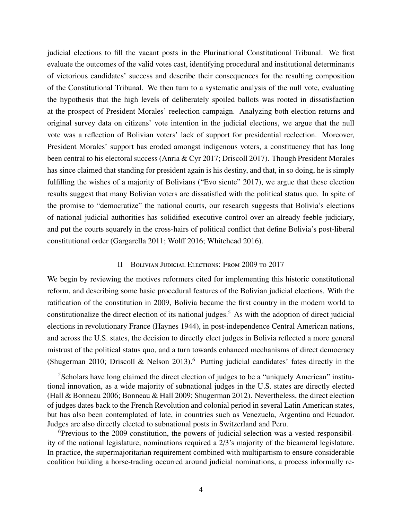judicial elections to fill the vacant posts in the Plurinational Constitutional Tribunal. We first evaluate the outcomes of the valid votes cast, identifying procedural and institutional determinants of victorious candidates' success and describe their consequences for the resulting composition of the Constitutional Tribunal. We then turn to a systematic analysis of the null vote, evaluating the hypothesis that the high levels of deliberately spoiled ballots was rooted in dissatisfaction at the prospect of President Morales' reelection campaign. Analyzing both election returns and original survey data on citizens' vote intention in the judicial elections, we argue that the null vote was a reflection of Bolivian voters' lack of support for presidential reelection. Moreover, President Morales' support has eroded amongst indigenous voters, a constituency that has long been central to his electoral success (Anria & Cyr 2017; Driscoll 2017). Though President Morales has since claimed that standing for president again is his destiny, and that, in so doing, he is simply fulfilling the wishes of a majority of Bolivians ("Evo siente" 2017), we argue that these election results suggest that many Bolivian voters are dissatisfied with the political status quo. In spite of the promise to "democratize" the national courts, our research suggests that Bolivia's elections of national judicial authorities has solidified executive control over an already feeble judiciary, and put the courts squarely in the cross-hairs of political conflict that define Bolivia's post-liberal constitutional order (Gargarella 2011; Wolff 2016; Whitehead 2016).

#### II Bolivian Judicial Elections: From 2009 to 2017

We begin by reviewing the motives reformers cited for implementing this historic constitutional reform, and describing some basic procedural features of the Bolivian judicial elections. With the ratification of the constitution in 2009, Bolivia became the first country in the modern world to constitutionalize the direct election of its national judges.<sup>[5](#page-0-0)</sup> As with the adoption of direct judicial elections in revolutionary France (Haynes 1944), in post-independence Central American nations, and across the U.S. states, the decision to directly elect judges in Bolivia reflected a more general mistrust of the political status quo, and a turn towards enhanced mechanisms of direct democracy (Shugerman 2010; Driscoll & Nelson 2013).<sup>[6](#page-0-0)</sup> Putting judicial candidates' fates directly in the

 ${}^{6}$ Previous to the 2009 constitution, the powers of judicial selection was a vested responsibility of the national legislature, nominations required a 2/3's majority of the bicameral legislature. In practice, the supermajoritarian requirement combined with multipartism to ensure considerable coalition building a horse-trading occurred around judicial nominations, a process informally re-

<sup>&</sup>lt;sup>5</sup>Scholars have long claimed the direct election of judges to be a "uniquely American" institutional innovation, as a wide majority of subnational judges in the U.S. states are directly elected (Hall & Bonneau 2006; Bonneau & Hall 2009; Shugerman 2012). Nevertheless, the direct election of judges dates back to the French Revolution and colonial period in several Latin American states, but has also been contemplated of late, in countries such as Venezuela, Argentina and Ecuador. Judges are also directly elected to subnational posts in Switzerland and Peru.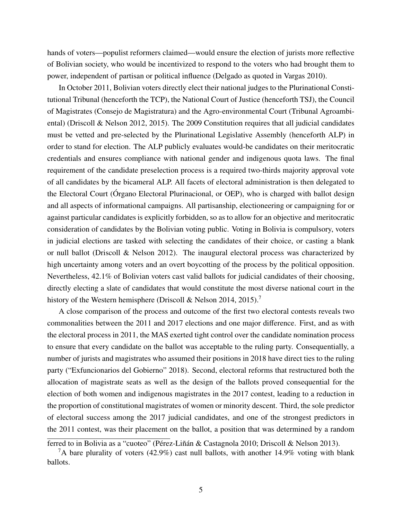hands of voters—populist reformers claimed—would ensure the election of jurists more reflective of Bolivian society, who would be incentivized to respond to the voters who had brought them to power, independent of partisan or political influence (Delgado as quoted in Vargas 2010).

In October 2011, Bolivian voters directly elect their national judges to the Plurinational Constitutional Tribunal (henceforth the TCP), the National Court of Justice (henceforth TSJ), the Council of Magistrates (Consejo de Magistratura) and the Agro-environmental Court (Tribunal Agroambiental) (Driscoll & Nelson 2012, 2015). The 2009 Constitution requires that all judicial candidates must be vetted and pre-selected by the Plurinational Legislative Assembly (henceforth ALP) in order to stand for election. The ALP publicly evaluates would-be candidates on their meritocratic credentials and ensures compliance with national gender and indigenous quota laws. The final requirement of the candidate preselection process is a required two-thirds majority approval vote of all candidates by the bicameral ALP. All facets of electoral administration is then delegated to the Electoral Court (Organo Electoral Plurinacional, or OEP), who is charged with ballot design ´ and all aspects of informational campaigns. All partisanship, electioneering or campaigning for or against particular candidates is explicitly forbidden, so as to allow for an objective and meritocratic consideration of candidates by the Bolivian voting public. Voting in Bolivia is compulsory, voters in judicial elections are tasked with selecting the candidates of their choice, or casting a blank or null ballot (Driscoll & Nelson 2012). The inaugural electoral process was characterized by high uncertainty among voters and an overt boycotting of the process by the political opposition. Nevertheless, 42.1% of Bolivian voters cast valid ballots for judicial candidates of their choosing, directly electing a slate of candidates that would constitute the most diverse national court in the history of the Western hemisphere (Driscoll & Nelson 2014, 2015).<sup>[7](#page-0-0)</sup>

A close comparison of the process and outcome of the first two electoral contests reveals two commonalities between the 2011 and 2017 elections and one major difference. First, and as with the electoral process in 2011, the MAS exerted tight control over the candidate nomination process to ensure that every candidate on the ballot was acceptable to the ruling party. Consequentially, a number of jurists and magistrates who assumed their positions in 2018 have direct ties to the ruling party ("Exfuncionarios del Gobierno" 2018). Second, electoral reforms that restructured both the allocation of magistrate seats as well as the design of the ballots proved consequential for the election of both women and indigenous magistrates in the 2017 contest, leading to a reduction in the proportion of constitutional magistrates of women or minority descent. Third, the sole predictor of electoral success among the 2017 judicial candidates, and one of the strongest predictors in the 2011 contest, was their placement on the ballot, a position that was determined by a random

ferred to in Bolivia as a "cuoteo" (Pérez-Liñán & Castagnola 2010; Driscoll & Nelson 2013).

<sup>&</sup>lt;sup>7</sup>A bare plurality of voters (42.9%) cast null ballots, with another 14.9% voting with blank ballots.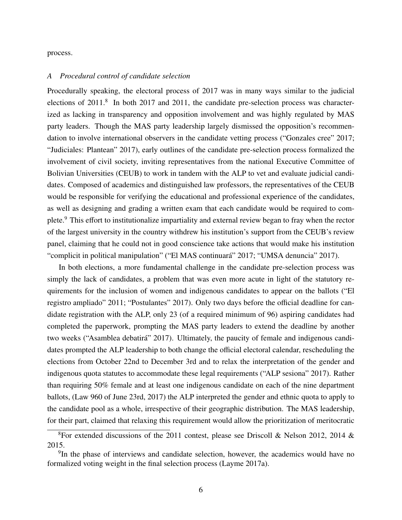process.

#### *A Procedural control of candidate selection*

Procedurally speaking, the electoral process of 2017 was in many ways similar to the judicial elections of 2011.<sup>[8](#page-0-0)</sup> In both 2017 and 2011, the candidate pre-selection process was characterized as lacking in transparency and opposition involvement and was highly regulated by MAS party leaders. Though the MAS party leadership largely dismissed the opposition's recommendation to involve international observers in the candidate vetting process ("Gonzales cree" 2017; "Judiciales: Plantean" 2017), early outlines of the candidate pre-selection process formalized the involvement of civil society, inviting representatives from the national Executive Committee of Bolivian Universities (CEUB) to work in tandem with the ALP to vet and evaluate judicial candidates. Composed of academics and distinguished law professors, the representatives of the CEUB would be responsible for verifying the educational and professional experience of the candidates, as well as designing and grading a written exam that each candidate would be required to complete.[9](#page-0-0) This effort to institutionalize impartiality and external review began to fray when the rector of the largest university in the country withdrew his institution's support from the CEUB's review panel, claiming that he could not in good conscience take actions that would make his institution "complicit in political manipulation" ("El MAS continuará" 2017; "UMSA denuncia" 2017).

In both elections, a more fundamental challenge in the candidate pre-selection process was simply the lack of candidates, a problem that was even more acute in light of the statutory requirements for the inclusion of women and indigenous candidates to appear on the ballots ("El registro ampliado" 2011; "Postulantes" 2017). Only two days before the official deadline for candidate registration with the ALP, only 23 (of a required minimum of 96) aspiring candidates had completed the paperwork, prompting the MAS party leaders to extend the deadline by another two weeks ("Asamblea debatirá" 2017). Ultimately, the paucity of female and indigenous candidates prompted the ALP leadership to both change the official electoral calendar, rescheduling the elections from October 22nd to December 3rd and to relax the interpretation of the gender and indigenous quota statutes to accommodate these legal requirements ("ALP sesiona" 2017). Rather than requiring 50% female and at least one indigenous candidate on each of the nine department ballots, (Law 960 of June 23rd, 2017) the ALP interpreted the gender and ethnic quota to apply to the candidate pool as a whole, irrespective of their geographic distribution. The MAS leadership, for their part, claimed that relaxing this requirement would allow the prioritization of meritocratic

<sup>&</sup>lt;sup>8</sup>For extended discussions of the 2011 contest, please see Driscoll & Nelson 2012, 2014 & 2015.

<sup>&</sup>lt;sup>9</sup>In the phase of interviews and candidate selection, however, the academics would have no formalized voting weight in the final selection process (Layme 2017a).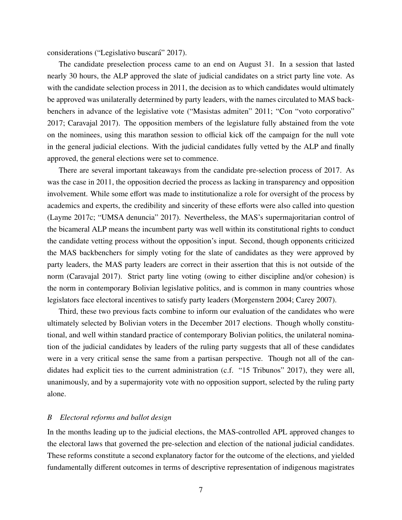considerations ("Legislativo buscará" 2017).

The candidate preselection process came to an end on August 31. In a session that lasted nearly 30 hours, the ALP approved the slate of judicial candidates on a strict party line vote. As with the candidate selection process in 2011, the decision as to which candidates would ultimately be approved was unilaterally determined by party leaders, with the names circulated to MAS backbenchers in advance of the legislative vote ("Masistas admiten" 2011; "Con "voto corporativo" 2017; Caravajal 2017). The opposition members of the legislature fully abstained from the vote on the nominees, using this marathon session to official kick off the campaign for the null vote in the general judicial elections. With the judicial candidates fully vetted by the ALP and finally approved, the general elections were set to commence.

There are several important takeaways from the candidate pre-selection process of 2017. As was the case in 2011, the opposition decried the process as lacking in transparency and opposition involvement. While some effort was made to institutionalize a role for oversight of the process by academics and experts, the credibility and sincerity of these efforts were also called into question (Layme 2017c; "UMSA denuncia" 2017). Nevertheless, the MAS's supermajoritarian control of the bicameral ALP means the incumbent party was well within its constitutional rights to conduct the candidate vetting process without the opposition's input. Second, though opponents criticized the MAS backbenchers for simply voting for the slate of candidates as they were approved by party leaders, the MAS party leaders are correct in their assertion that this is not outside of the norm (Caravajal 2017). Strict party line voting (owing to either discipline and/or cohesion) is the norm in contemporary Bolivian legislative politics, and is common in many countries whose legislators face electoral incentives to satisfy party leaders (Morgenstern 2004; Carey 2007).

Third, these two previous facts combine to inform our evaluation of the candidates who were ultimately selected by Bolivian voters in the December 2017 elections. Though wholly constitutional, and well within standard practice of contemporary Bolivian politics, the unilateral nomination of the judicial candidates by leaders of the ruling party suggests that all of these candidates were in a very critical sense the same from a partisan perspective. Though not all of the candidates had explicit ties to the current administration (c.f. "15 Tribunos" 2017), they were all, unanimously, and by a supermajority vote with no opposition support, selected by the ruling party alone.

#### *B Electoral reforms and ballot design*

In the months leading up to the judicial elections, the MAS-controlled APL approved changes to the electoral laws that governed the pre-selection and election of the national judicial candidates. These reforms constitute a second explanatory factor for the outcome of the elections, and yielded fundamentally different outcomes in terms of descriptive representation of indigenous magistrates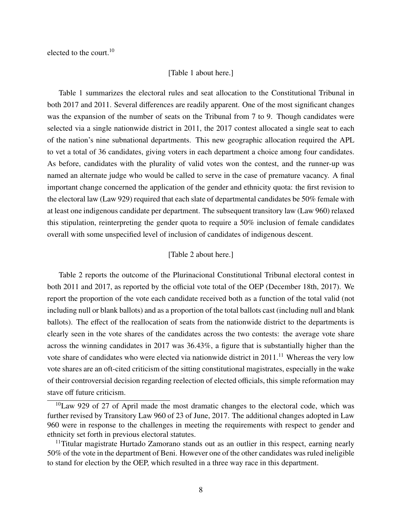elected to the court. $10$ 

#### [Table 1 about here.]

Table [1](#page-31-0) summarizes the electoral rules and seat allocation to the Constitutional Tribunal in both 2017 and 2011. Several differences are readily apparent. One of the most significant changes was the expansion of the number of seats on the Tribunal from 7 to 9. Though candidates were selected via a single nationwide district in 2011, the 2017 contest allocated a single seat to each of the nation's nine subnational departments. This new geographic allocation required the APL to vet a total of 36 candidates, giving voters in each department a choice among four candidates. As before, candidates with the plurality of valid votes won the contest, and the runner-up was named an alternate judge who would be called to serve in the case of premature vacancy. A final important change concerned the application of the gender and ethnicity quota: the first revision to the electoral law (Law 929) required that each slate of departmental candidates be 50% female with at least one indigenous candidate per department. The subsequent transitory law (Law 960) relaxed this stipulation, reinterpreting the gender quota to require a 50% inclusion of female candidates overall with some unspecified level of inclusion of candidates of indigenous descent.

#### [Table 2 about here.]

Table [2](#page-32-0) reports the outcome of the Plurinacional Constitutional Tribunal electoral contest in both 2011 and 2017, as reported by the official vote total of the OEP (December 18th, 2017). We report the proportion of the vote each candidate received both as a function of the total valid (not including null or blank ballots) and as a proportion of the total ballots cast (including null and blank ballots). The effect of the reallocation of seats from the nationwide district to the departments is clearly seen in the vote shares of the candidates across the two contests: the average vote share across the winning candidates in 2017 was 36.43%, a figure that is substantially higher than the vote share of candidates who were elected via nationwide district in 20[11](#page-0-0).<sup>11</sup> Whereas the very low vote shares are an oft-cited criticism of the sitting constitutional magistrates, especially in the wake of their controversial decision regarding reelection of elected officials, this simple reformation may stave off future criticism.

 $10$ Law 929 of 27 of April made the most dramatic changes to the electoral code, which was further revised by Transitory Law 960 of 23 of June, 2017. The additional changes adopted in Law 960 were in response to the challenges in meeting the requirements with respect to gender and ethnicity set forth in previous electoral statutes.

 $11$ Titular magistrate Hurtado Zamorano stands out as an outlier in this respect, earning nearly 50% of the vote in the department of Beni. However one of the other candidates was ruled ineligible to stand for election by the OEP, which resulted in a three way race in this department.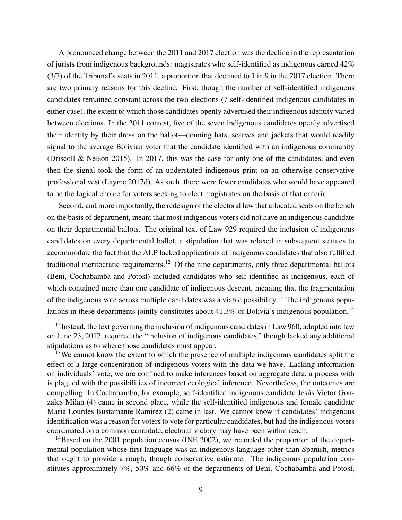A pronounced change between the 2011 and 2017 election was the decline in the representation of jurists from indigenous backgrounds: magistrates who self-identified as indigenous earned 42% (3/7) of the Tribunal's seats in 2011, a proportion that declined to 1 in 9 in the 2017 election. There are two primary reasons for this decline. First, though the number of self-identified indigenous candidates remained constant across the two elections (7 self-identified indigenous candidates in either case), the extent to which those candidates openly advertised their indigenous identity varied between elections. In the 2011 contest, five of the seven indigenous candidates openly advertised their identity by their dress on the ballot—donning hats, scarves and jackets that would readily signal to the average Bolivian voter that the candidate identified with an indigenous community (Driscoll & Nelson 2015). In 2017, this was the case for only one of the candidates, and even then the signal took the form of an understated indigenous print on an otherwise conservative professional vest (Layme 2017d). As such, there were fewer candidates who would have appeared to be the logical choice for voters seeking to elect magistrates on the basis of that criteria.

Second, and more importantly, the redesign of the electoral law that allocated seats on the bench on the basis of department, meant that most indigenous voters did not have an indigenous candidate on their departmental ballots. The original text of Law 929 required the inclusion of indigenous candidates on every departmental ballot, a stipulation that was relaxed in subsequent statutes to accommodate the fact that the ALP lacked applications of indigenous candidates that also fulfilled traditional meritocratic requirements.<sup>[12](#page-0-0)</sup> Of the nine departments, only three departmental ballots (Beni, Cochabamba and Potosí) included candidates who self-identified as indigenous, each of which contained more than one candidate of indigenous descent, meaning that the fragmentation of the indigenous vote across multiple candidates was a viable possibility.<sup>[13](#page-0-0)</sup> The indigenous populations in these departments jointly constitutes about  $41.3\%$  of Bolivia's indigenous population,<sup>[14](#page-0-0)</sup>

 $14B$ ased on the 2001 population census (INE 2002), we recorded the proportion of the departmental population whose first language was an indigenous language other than Spanish, metrics that ought to provide a rough, though conservative estimate. The indigenous population constitutes approximately  $7\%$ ,  $50\%$  and  $66\%$  of the departments of Beni, Cochabamba and Potosí,

 $12$ Instead, the text governing the inclusion of indigenous candidates in Law 960, adopted into law on June 23, 2017, required the "inclusion of indigenous candidates," though lacked any additional stipulations as to where those candidates must appear.

<sup>&</sup>lt;sup>13</sup>We cannot know the extent to which the presence of multiple indigenous candidates split the effect of a large concentration of indigenous voters with the data we have. Lacking information on individuals' vote, we are confined to make inferences based on aggregate data, a process with is plagued with the possibilities of incorrect ecological inference. Nevertheless, the outcomes are compelling. In Cochabamba, for example, self-identified indigenous candidate Jesus Victor Gonzales Milan (4) came in second place, while the self-identified indigenous and female candidate Maria Lourdes Bustamante Ramirez (2) came in last. We cannot know if candidates' indigenous identification was a reason for voters to vote for particular candidates, but had the indigenous voters coordinated on a common candidate, electoral victory may have been within reach.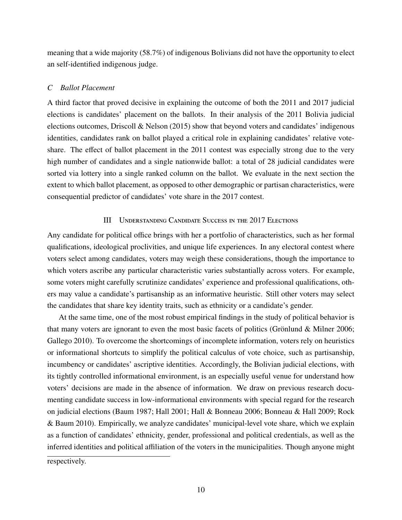meaning that a wide majority (58.7%) of indigenous Bolivians did not have the opportunity to elect an self-identified indigenous judge.

## *C Ballot Placement*

A third factor that proved decisive in explaining the outcome of both the 2011 and 2017 judicial elections is candidates' placement on the ballots. In their analysis of the 2011 Bolivia judicial elections outcomes, Driscoll & Nelson (2015) show that beyond voters and candidates' indigenous identities, candidates rank on ballot played a critical role in explaining candidates' relative voteshare. The effect of ballot placement in the 2011 contest was especially strong due to the very high number of candidates and a single nationwide ballot: a total of 28 judicial candidates were sorted via lottery into a single ranked column on the ballot. We evaluate in the next section the extent to which ballot placement, as opposed to other demographic or partisan characteristics, were consequential predictor of candidates' vote share in the 2017 contest.

## III Understanding Candidate Success in the 2017 Elections

Any candidate for political office brings with her a portfolio of characteristics, such as her formal qualifications, ideological proclivities, and unique life experiences. In any electoral contest where voters select among candidates, voters may weigh these considerations, though the importance to which voters ascribe any particular characteristic varies substantially across voters. For example, some voters might carefully scrutinize candidates' experience and professional qualifications, others may value a candidate's partisanship as an informative heuristic. Still other voters may select the candidates that share key identity traits, such as ethnicity or a candidate's gender.

At the same time, one of the most robust empirical findings in the study of political behavior is that many voters are ignorant to even the most basic facets of politics (Grönlund  $\&$  Milner 2006; Gallego 2010). To overcome the shortcomings of incomplete information, voters rely on heuristics or informational shortcuts to simplify the political calculus of vote choice, such as partisanship, incumbency or candidates' ascriptive identities. Accordingly, the Bolivian judicial elections, with its tightly controlled informational environment, is an especially useful venue for understand how voters' decisions are made in the absence of information. We draw on previous research documenting candidate success in low-informational environments with special regard for the research on judicial elections (Baum 1987; Hall 2001; Hall & Bonneau 2006; Bonneau & Hall 2009; Rock & Baum 2010). Empirically, we analyze candidates' municipal-level vote share, which we explain as a function of candidates' ethnicity, gender, professional and political credentials, as well as the inferred identities and political affiliation of the voters in the municipalities. Though anyone might

respectively.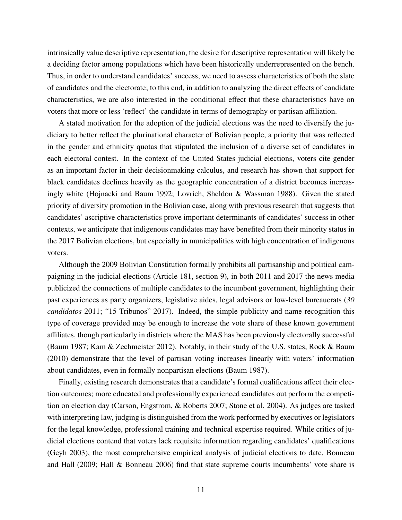intrinsically value descriptive representation, the desire for descriptive representation will likely be a deciding factor among populations which have been historically underrepresented on the bench. Thus, in order to understand candidates' success, we need to assess characteristics of both the slate of candidates and the electorate; to this end, in addition to analyzing the direct effects of candidate characteristics, we are also interested in the conditional effect that these characteristics have on voters that more or less 'reflect' the candidate in terms of demography or partisan affiliation.

A stated motivation for the adoption of the judicial elections was the need to diversify the judiciary to better reflect the plurinational character of Bolivian people, a priority that was reflected in the gender and ethnicity quotas that stipulated the inclusion of a diverse set of candidates in each electoral contest. In the context of the United States judicial elections, voters cite gender as an important factor in their decisionmaking calculus, and research has shown that support for black candidates declines heavily as the geographic concentration of a district becomes increasingly white (Hojnacki and Baum 1992; Lovrich, Sheldon & Wassman 1988). Given the stated priority of diversity promotion in the Bolivian case, along with previous research that suggests that candidates' ascriptive characteristics prove important determinants of candidates' success in other contexts, we anticipate that indigenous candidates may have benefited from their minority status in the 2017 Bolivian elections, but especially in municipalities with high concentration of indigenous voters.

Although the 2009 Bolivian Constitution formally prohibits all partisanship and political campaigning in the judicial elections (Article 181, section 9), in both 2011 and 2017 the news media publicized the connections of multiple candidates to the incumbent government, highlighting their past experiences as party organizers, legislative aides, legal advisors or low-level bureaucrats (*30 candidatos* 2011; "15 Tribunos" 2017). Indeed, the simple publicity and name recognition this type of coverage provided may be enough to increase the vote share of these known government affiliates, though particularly in districts where the MAS has been previously electorally successful (Baum 1987; Kam & Zechmeister 2012). Notably, in their study of the U.S. states, Rock & Baum (2010) demonstrate that the level of partisan voting increases linearly with voters' information about candidates, even in formally nonpartisan elections (Baum 1987).

Finally, existing research demonstrates that a candidate's formal qualifications affect their election outcomes; more educated and professionally experienced candidates out perform the competition on election day (Carson, Engstrom, & Roberts 2007; Stone et al. 2004). As judges are tasked with interpreting law, judging is distinguished from the work performed by executives or legislators for the legal knowledge, professional training and technical expertise required. While critics of judicial elections contend that voters lack requisite information regarding candidates' qualifications (Geyh 2003), the most comprehensive empirical analysis of judicial elections to date, Bonneau and Hall (2009; Hall & Bonneau 2006) find that state supreme courts incumbents' vote share is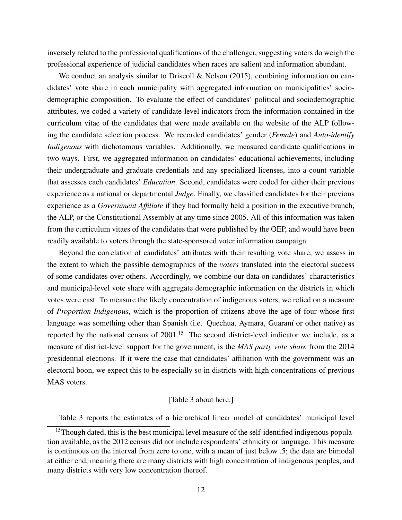inversely related to the professional qualifications of the challenger, suggesting voters do weigh the professional experience of judicial candidates when races are salient and information abundant.

We conduct an analysis similar to Driscoll & Nelson (2015), combining information on candidates' vote share in each municipality with aggregated information on municipalities' sociodemographic composition. To evaluate the effect of candidates' political and sociodemographic attributes, we coded a variety of candidate-level indicators from the information contained in the curriculum vitae of the candidates that were made available on the website of the ALP following the candidate selection process. We recorded candidates' gender (*Female*) and *Auto-identify Indigenous* with dichotomous variables. Additionally, we measured candidate qualifications in two ways. First, we aggregated information on candidates' educational achievements, including their undergraduate and graduate credentials and any specialized licenses, into a count variable that assesses each candidates' *Education*. Second, candidates were coded for either their previous experience as a national or departmental *Judge*. Finally, we classified candidates for their previous experience as a *Government A*ffi*liate* if they had formally held a position in the executive branch, the ALP, or the Constitutional Assembly at any time since 2005. All of this information was taken from the curriculum vitaes of the candidates that were published by the OEP, and would have been readily available to voters through the state-sponsored voter information campaign.

Beyond the correlation of candidates' attributes with their resulting vote share, we assess in the extent to which the possible demographics of the *voters* translated into the electoral success of some candidates over others. Accordingly, we combine our data on candidates' characteristics and municipal-level vote share with aggregate demographic information on the districts in which votes were cast. To measure the likely concentration of indigenous voters, we relied on a measure of *Proportion Indigenous*, which is the proportion of citizens above the age of four whose first language was something other than Spanish (i.e. Quechua, Aymara, Guaraní or other native) as reported by the national census of  $2001$ .<sup>[15](#page-0-0)</sup> The second district-level indicator we include, as a measure of district-level support for the government, is the *MAS party vote share* from the 2014 presidential elections. If it were the case that candidates' affiliation with the government was an electoral boon, we expect this to be especially so in districts with high concentrations of previous MAS voters.

#### [Table 3 about here.]

Table [3](#page-33-0) reports the estimates of a hierarchical linear model of candidates' municipal level

 $15$ Though dated, this is the best municipal level measure of the self-identified indigenous population available, as the 2012 census did not include respondents' ethnicity or language. This measure is continuous on the interval from zero to one, with a mean of just below .5; the data are bimodal at either end, meaning there are many districts with high concentration of indigenous peoples, and many districts with very low concentration thereof.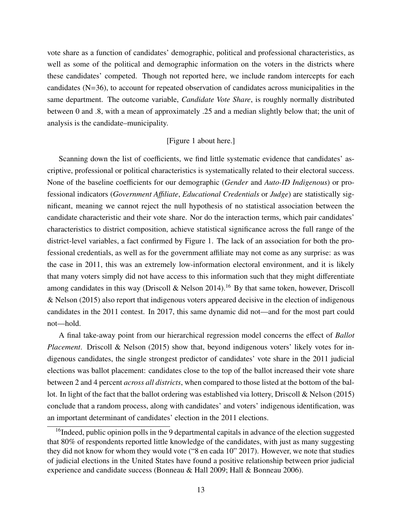vote share as a function of candidates' demographic, political and professional characteristics, as well as some of the political and demographic information on the voters in the districts where these candidates' competed. Though not reported here, we include random intercepts for each candidates (N=36), to account for repeated observation of candidates across municipalities in the same department. The outcome variable, *Candidate Vote Share*, is roughly normally distributed between 0 and .8, with a mean of approximately .25 and a median slightly below that; the unit of analysis is the candidate–municipality.

### [Figure 1 about here.]

Scanning down the list of coefficients, we find little systematic evidence that candidates' ascriptive, professional or political characteristics is systematically related to their electoral success. None of the baseline coefficients for our demographic (*Gender* and *Auto-ID Indigenous*) or professional indicators (*Government A*ffi*liate*, *Educational Credentials* or *Judge*) are statistically significant, meaning we cannot reject the null hypothesis of no statistical association between the candidate characteristic and their vote share. Nor do the interaction terms, which pair candidates' characteristics to district composition, achieve statistical significance across the full range of the district-level variables, a fact confirmed by Figure [1.](#page-28-0) The lack of an association for both the professional credentials, as well as for the government affiliate may not come as any surprise: as was the case in 2011, this was an extremely low-information electoral environment, and it is likely that many voters simply did not have access to this information such that they might differentiate among candidates in this way (Driscoll & Nelson 2014).<sup>[16](#page-0-0)</sup> By that same token, however, Driscoll & Nelson (2015) also report that indigenous voters appeared decisive in the election of indigenous candidates in the 2011 contest. In 2017, this same dynamic did not—and for the most part could not—hold.

A final take-away point from our hierarchical regression model concerns the effect of *Ballot Placement*. Driscoll & Nelson (2015) show that, beyond indigenous voters' likely votes for indigenous candidates, the single strongest predictor of candidates' vote share in the 2011 judicial elections was ballot placement: candidates close to the top of the ballot increased their vote share between 2 and 4 percent *across all districts*, when compared to those listed at the bottom of the ballot. In light of the fact that the ballot ordering was established via lottery, Driscoll & Nelson (2015) conclude that a random process, along with candidates' and voters' indigenous identification, was an important determinant of candidates' election in the 2011 elections.

<sup>&</sup>lt;sup>16</sup>Indeed, public opinion polls in the 9 departmental capitals in advance of the election suggested that 80% of respondents reported little knowledge of the candidates, with just as many suggesting they did not know for whom they would vote ("8 en cada 10" 2017). However, we note that studies of judicial elections in the United States have found a positive relationship between prior judicial experience and candidate success (Bonneau & Hall 2009; Hall & Bonneau 2006).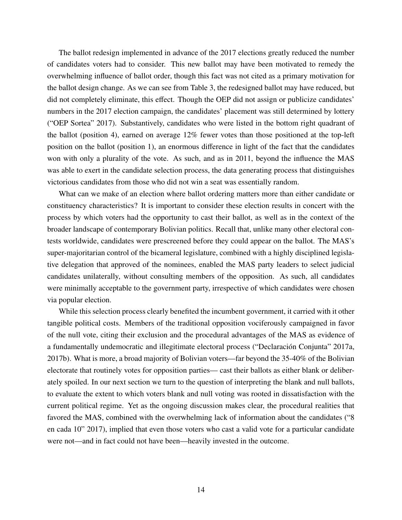The ballot redesign implemented in advance of the 2017 elections greatly reduced the number of candidates voters had to consider. This new ballot may have been motivated to remedy the overwhelming influence of ballot order, though this fact was not cited as a primary motivation for the ballot design change. As we can see from Table [3,](#page-33-0) the redesigned ballot may have reduced, but did not completely eliminate, this effect. Though the OEP did not assign or publicize candidates' numbers in the 2017 election campaign, the candidates' placement was still determined by lottery ("OEP Sortea" 2017). Substantively, candidates who were listed in the bottom right quadrant of the ballot (position 4), earned on average 12% fewer votes than those positioned at the top-left position on the ballot (position 1), an enormous difference in light of the fact that the candidates won with only a plurality of the vote. As such, and as in 2011, beyond the influence the MAS was able to exert in the candidate selection process, the data generating process that distinguishes victorious candidates from those who did not win a seat was essentially random.

What can we make of an election where ballot ordering matters more than either candidate or constituency characteristics? It is important to consider these election results in concert with the process by which voters had the opportunity to cast their ballot, as well as in the context of the broader landscape of contemporary Bolivian politics. Recall that, unlike many other electoral contests worldwide, candidates were prescreened before they could appear on the ballot. The MAS's super-majoritarian control of the bicameral legislature, combined with a highly disciplined legislative delegation that approved of the nominees, enabled the MAS party leaders to select judicial candidates unilaterally, without consulting members of the opposition. As such, all candidates were minimally acceptable to the government party, irrespective of which candidates were chosen via popular election.

While this selection process clearly benefited the incumbent government, it carried with it other tangible political costs. Members of the traditional opposition vociferously campaigned in favor of the null vote, citing their exclusion and the procedural advantages of the MAS as evidence of a fundamentally undemocratic and illegitimate electoral process ("Declaracion Conjunta" 2017a, ´ 2017b). What is more, a broad majority of Bolivian voters—far beyond the 35-40% of the Bolivian electorate that routinely votes for opposition parties— cast their ballots as either blank or deliberately spoiled. In our next section we turn to the question of interpreting the blank and null ballots, to evaluate the extent to which voters blank and null voting was rooted in dissatisfaction with the current political regime. Yet as the ongoing discussion makes clear, the procedural realities that favored the MAS, combined with the overwhelming lack of information about the candidates ("8 en cada 10" 2017), implied that even those voters who cast a valid vote for a particular candidate were not—and in fact could not have been—heavily invested in the outcome.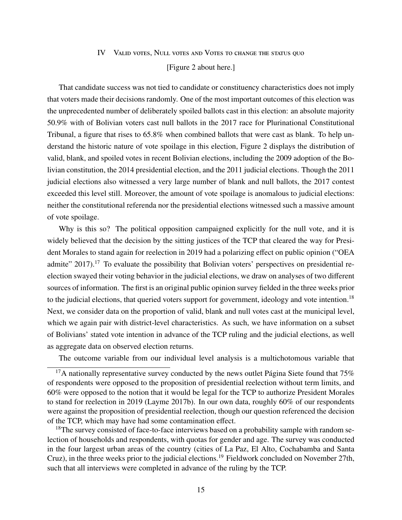#### IV Valid votes, Null votes and Votes to change the status quo

#### [Figure 2 about here.]

That candidate success was not tied to candidate or constituency characteristics does not imply that voters made their decisions randomly. One of the most important outcomes of this election was the unprecedented number of deliberately spoiled ballots cast in this election: an absolute majority 50.9% with of Bolivian voters cast null ballots in the 2017 race for Plurinational Constitutional Tribunal, a figure that rises to 65.8% when combined ballots that were cast as blank. To help understand the historic nature of vote spoilage in this election, Figure [2](#page-29-0) displays the distribution of valid, blank, and spoiled votes in recent Bolivian elections, including the 2009 adoption of the Bolivian constitution, the 2014 presidential election, and the 2011 judicial elections. Though the 2011 judicial elections also witnessed a very large number of blank and null ballots, the 2017 contest exceeded this level still. Moreover, the amount of vote spoilage is anomalous to judicial elections: neither the constitutional referenda nor the presidential elections witnessed such a massive amount of vote spoilage.

Why is this so? The political opposition campaigned explicitly for the null vote, and it is widely believed that the decision by the sitting justices of the TCP that cleared the way for President Morales to stand again for reelection in 2019 had a polarizing effect on public opinion ("OEA admite" 20[17](#page-0-0)).<sup>17</sup> To evaluate the possibility that Bolivian voters' perspectives on presidential reelection swayed their voting behavior in the judicial elections, we draw on analyses of two different sources of information. The first is an original public opinion survey fielded in the three weeks prior to the judicial elections, that queried voters support for government, ideology and vote intention.<sup>[18](#page-0-0)</sup> Next, we consider data on the proportion of valid, blank and null votes cast at the municipal level, which we again pair with district-level characteristics. As such, we have information on a subset of Bolivians' stated vote intention in advance of the TCP ruling and the judicial elections, as well as aggregate data on observed election returns.

The outcome variable from our individual level analysis is a multichotomous variable that

 $18$ The survey consisted of face-to-face interviews based on a probability sample with random selection of households and respondents, with quotas for gender and age. The survey was conducted in the four largest urban areas of the country (cities of La Paz, El Alto, Cochabamba and Santa Cruz), in the three weeks prior to the judicial elections.<sup>[19](#page-0-0)</sup> Fieldwork concluded on November 27th, such that all interviews were completed in advance of the ruling by the TCP.

 $17A$  nationally representative survey conducted by the news outlet Página Siete found that 75% of respondents were opposed to the proposition of presidential reelection without term limits, and 60% were opposed to the notion that it would be legal for the TCP to authorize President Morales to stand for reelection in 2019 (Layme 2017b). In our own data, roughly 60% of our respondents were against the proposition of presidential reelection, though our question referenced the decision of the TCP, which may have had some contamination effect.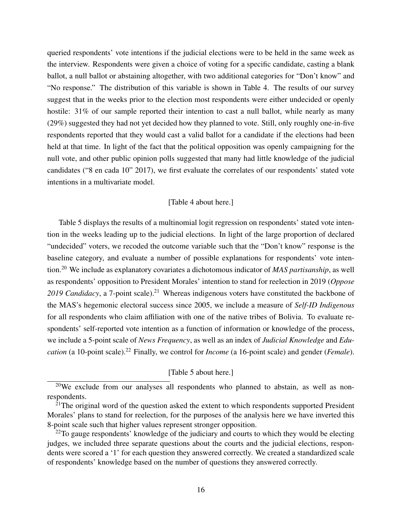queried respondents' vote intentions if the judicial elections were to be held in the same week as the interview. Respondents were given a choice of voting for a specific candidate, casting a blank ballot, a null ballot or abstaining altogether, with two additional categories for "Don't know" and "No response." The distribution of this variable is shown in Table [4.](#page-34-0) The results of our survey suggest that in the weeks prior to the election most respondents were either undecided or openly hostile: 31% of our sample reported their intention to cast a null ballot, while nearly as many (29%) suggested they had not yet decided how they planned to vote. Still, only roughly one-in-five respondents reported that they would cast a valid ballot for a candidate if the elections had been held at that time. In light of the fact that the political opposition was openly campaigning for the null vote, and other public opinion polls suggested that many had little knowledge of the judicial candidates ("8 en cada 10" 2017), we first evaluate the correlates of our respondents' stated vote intentions in a multivariate model.

#### [Table 4 about here.]

Table [5](#page-35-0) displays the results of a multinomial logit regression on respondents' stated vote intention in the weeks leading up to the judicial elections. In light of the large proportion of declared "undecided" voters, we recoded the outcome variable such that the "Don't know" response is the baseline category, and evaluate a number of possible explanations for respondents' vote intention.[20](#page-0-0) We include as explanatory covariates a dichotomous indicator of *MAS partisanship*, as well as respondents' opposition to President Morales' intention to stand for reelection in 2019 (*Oppose* 2019 Candidacy, a 7-point scale).<sup>[21](#page-0-0)</sup> Whereas indigenous voters have constituted the backbone of the MAS's hegemonic electoral success since 2005, we include a measure of *Self-ID Indigenous* for all respondents who claim affiliation with one of the native tribes of Bolivia. To evaluate respondents' self-reported vote intention as a function of information or knowledge of the process, we include a 5-point scale of *News Frequency*, as well as an index of *Judicial Knowledge* and *Education* (a 10-point scale).<sup>[22](#page-0-0)</sup> Finally, we control for *Income* (a 16-point scale) and gender (*Female*).

[Table 5 about here.]

<sup>20</sup>We exclude from our analyses all respondents who planned to abstain, as well as nonrespondents.

 $2^{1}$ The original word of the question asked the extent to which respondents supported President Morales' plans to stand for reelection, for the purposes of the analysis here we have inverted this 8-point scale such that higher values represent stronger opposition.

 $^{22}$ To gauge respondents' knowledge of the judiciary and courts to which they would be electing judges, we included three separate questions about the courts and the judicial elections, respondents were scored a '1' for each question they answered correctly. We created a standardized scale of respondents' knowledge based on the number of questions they answered correctly.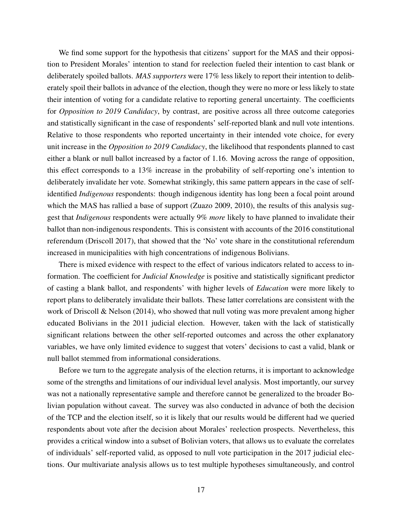We find some support for the hypothesis that citizens' support for the MAS and their opposition to President Morales' intention to stand for reelection fueled their intention to cast blank or deliberately spoiled ballots. *MAS supporters* were 17% less likely to report their intention to deliberately spoil their ballots in advance of the election, though they were no more or less likely to state their intention of voting for a candidate relative to reporting general uncertainty. The coefficients for *Opposition to 2019 Candidacy*, by contrast, are positive across all three outcome categories and statistically significant in the case of respondents' self-reported blank and null vote intentions. Relative to those respondents who reported uncertainty in their intended vote choice, for every unit increase in the *Opposition to 2019 Candidacy*, the likelihood that respondents planned to cast either a blank or null ballot increased by a factor of 1.16. Moving across the range of opposition, this effect corresponds to a 13% increase in the probability of self-reporting one's intention to deliberately invalidate her vote. Somewhat strikingly, this same pattern appears in the case of selfidentified *Indigenous* respondents: though indigenous identity has long been a focal point around which the MAS has rallied a base of support (Zuazo 2009, 2010), the results of this analysis suggest that *Indigenous* respondents were actually 9% *more* likely to have planned to invalidate their ballot than non-indigenous respondents. This is consistent with accounts of the 2016 constitutional referendum (Driscoll 2017), that showed that the 'No' vote share in the constitutional referendum increased in municipalities with high concentrations of indigenous Bolivians.

There is mixed evidence with respect to the effect of various indicators related to access to information. The coefficient for *Judicial Knowledge* is positive and statistically significant predictor of casting a blank ballot, and respondents' with higher levels of *Education* were more likely to report plans to deliberately invalidate their ballots. These latter correlations are consistent with the work of Driscoll & Nelson (2014), who showed that null voting was more prevalent among higher educated Bolivians in the 2011 judicial election. However, taken with the lack of statistically significant relations between the other self-reported outcomes and across the other explanatory variables, we have only limited evidence to suggest that voters' decisions to cast a valid, blank or null ballot stemmed from informational considerations.

Before we turn to the aggregate analysis of the election returns, it is important to acknowledge some of the strengths and limitations of our individual level analysis. Most importantly, our survey was not a nationally representative sample and therefore cannot be generalized to the broader Bolivian population without caveat. The survey was also conducted in advance of both the decision of the TCP and the election itself, so it is likely that our results would be different had we queried respondents about vote after the decision about Morales' reelection prospects. Nevertheless, this provides a critical window into a subset of Bolivian voters, that allows us to evaluate the correlates of individuals' self-reported valid, as opposed to null vote participation in the 2017 judicial elections. Our multivariate analysis allows us to test multiple hypotheses simultaneously, and control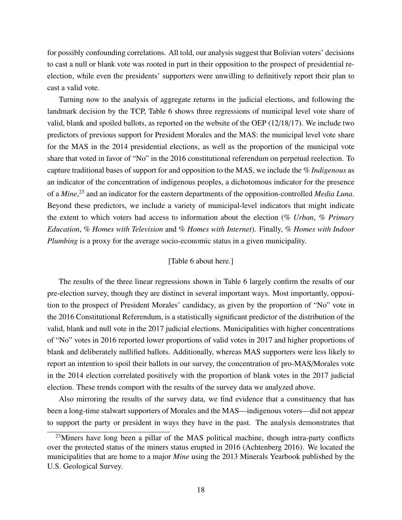for possibly confounding correlations. All told, our analysis suggest that Bolivian voters' decisions to cast a null or blank vote was rooted in part in their opposition to the prospect of presidential reelection, while even the presidents' supporters were unwilling to definitively report their plan to cast a valid vote.

Turning now to the analysis of aggregate returns in the judicial elections, and following the landmark decision by the TCP, Table [6](#page-36-0) shows three regressions of municipal level vote share of valid, blank and spoiled ballots, as reported on the website of the OEP (12/18/17). We include two predictors of previous support for President Morales and the MAS: the municipal level vote share for the MAS in the 2014 presidential elections, as well as the proportion of the municipal vote share that voted in favor of "No" in the 2016 constitutional referendum on perpetual reelection. To capture traditional bases of support for and opposition to the MAS, we include the *% Indigenous* as an indicator of the concentration of indigenous peoples, a dichotomous indicator for the presence of a *Mine*, [23](#page-0-0) and an indicator for the eastern departments of the opposition-controlled *Media Luna*. Beyond these predictors, we include a variety of municipal-level indicators that might indicate the extent to which voters had access to information about the election (*% Urban*, *% Primary Education*, *% Homes with Television* and *% Homes with Internet*). Finally, *% Homes with Indoor Plumbing* is a proxy for the average socio-economic status in a given municipality.

#### [Table 6 about here.]

The results of the three linear regressions shown in Table [6](#page-36-0) largely confirm the results of our pre-election survey, though they are distinct in several important ways. Most importantly, opposition to the prospect of President Morales' candidacy, as given by the proportion of "No" vote in the 2016 Constitutional Referendum, is a statistically significant predictor of the distribution of the valid, blank and null vote in the 2017 judicial elections. Municipalities with higher concentrations of "No" votes in 2016 reported lower proportions of valid votes in 2017 and higher proportions of blank and deliberately nullified ballots. Additionally, whereas MAS supporters were less likely to report an intention to spoil their ballots in our survey, the concentration of pro-MAS/Morales vote in the 2014 election correlated positively with the proportion of blank votes in the 2017 judicial election. These trends comport with the results of the survey data we analyzed above.

Also mirroring the results of the survey data, we find evidence that a constituency that has been a long-time stalwart supporters of Morales and the MAS—indigenous voters—did not appear to support the party or president in ways they have in the past. The analysis demonstrates that

 $23$ Miners have long been a pillar of the MAS political machine, though intra-party conflicts over the protected status of the miners status erupted in 2016 (Achtenberg 2016). We located the municipalities that are home to a major *Mine* using the 2013 Minerals Yearbook published by the U.S. Geological Survey.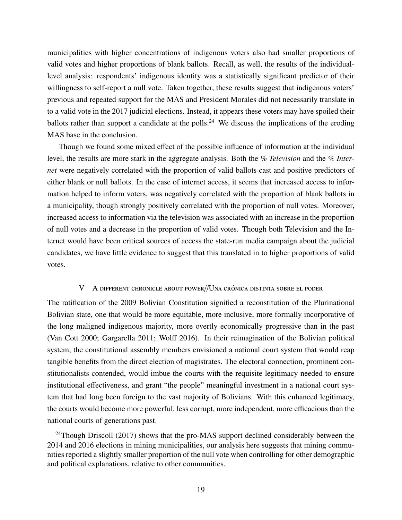municipalities with higher concentrations of indigenous voters also had smaller proportions of valid votes and higher proportions of blank ballots. Recall, as well, the results of the individuallevel analysis: respondents' indigenous identity was a statistically significant predictor of their willingness to self-report a null vote. Taken together, these results suggest that indigenous voters' previous and repeated support for the MAS and President Morales did not necessarily translate in to a valid vote in the 2017 judicial elections. Instead, it appears these voters may have spoiled their ballots rather than support a candidate at the polls.<sup>[24](#page-0-0)</sup> We discuss the implications of the eroding MAS base in the conclusion.

Though we found some mixed effect of the possible influence of information at the individual level, the results are more stark in the aggregate analysis. Both the *% Television* and the *% Internet* were negatively correlated with the proportion of valid ballots cast and positive predictors of either blank or null ballots. In the case of internet access, it seems that increased access to information helped to inform voters, was negatively correlated with the proportion of blank ballots in a municipality, though strongly positively correlated with the proportion of null votes. Moreover, increased access to information via the television was associated with an increase in the proportion of null votes and a decrease in the proportion of valid votes. Though both Television and the Internet would have been critical sources of access the state-run media campaign about the judicial candidates, we have little evidence to suggest that this translated in to higher proportions of valid votes.

#### V A DIFFERENT CHRONICLE ABOUT POWER//UNA CRÓNICA DISTINTA SOBRE EL PODER

The ratification of the 2009 Bolivian Constitution signified a reconstitution of the Plurinational Bolivian state, one that would be more equitable, more inclusive, more formally incorporative of the long maligned indigenous majority, more overtly economically progressive than in the past (Van Cott 2000; Gargarella 2011; Wolff 2016). In their reimagination of the Bolivian political system, the constitutional assembly members envisioned a national court system that would reap tangible benefits from the direct election of magistrates. The electoral connection, prominent constitutionalists contended, would imbue the courts with the requisite legitimacy needed to ensure institutional effectiveness, and grant "the people" meaningful investment in a national court system that had long been foreign to the vast majority of Bolivians. With this enhanced legitimacy, the courts would become more powerful, less corrupt, more independent, more efficacious than the national courts of generations past.

<sup>&</sup>lt;sup>24</sup>Though Driscoll (2017) shows that the pro-MAS support declined considerably between the 2014 and 2016 elections in mining municipalities, our analysis here suggests that mining communities reported a slightly smaller proportion of the null vote when controlling for other demographic and political explanations, relative to other communities.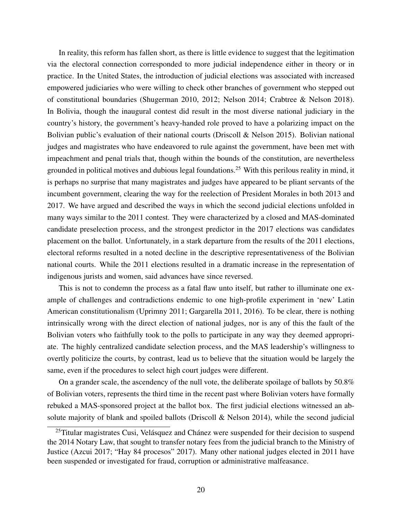In reality, this reform has fallen short, as there is little evidence to suggest that the legitimation via the electoral connection corresponded to more judicial independence either in theory or in practice. In the United States, the introduction of judicial elections was associated with increased empowered judiciaries who were willing to check other branches of government who stepped out of constitutional boundaries (Shugerman 2010, 2012; Nelson 2014; Crabtree & Nelson 2018). In Bolivia, though the inaugural contest did result in the most diverse national judiciary in the country's history, the government's heavy-handed role proved to have a polarizing impact on the Bolivian public's evaluation of their national courts (Driscoll & Nelson 2015). Bolivian national judges and magistrates who have endeavored to rule against the government, have been met with impeachment and penal trials that, though within the bounds of the constitution, are nevertheless grounded in political motives and dubious legal foundations.[25](#page-0-0) With this perilous reality in mind, it is perhaps no surprise that many magistrates and judges have appeared to be pliant servants of the incumbent government, clearing the way for the reelection of President Morales in both 2013 and 2017. We have argued and described the ways in which the second judicial elections unfolded in many ways similar to the 2011 contest. They were characterized by a closed and MAS-dominated candidate preselection process, and the strongest predictor in the 2017 elections was candidates placement on the ballot. Unfortunately, in a stark departure from the results of the 2011 elections, electoral reforms resulted in a noted decline in the descriptive representativeness of the Bolivian national courts. While the 2011 elections resulted in a dramatic increase in the representation of indigenous jurists and women, said advances have since reversed.

This is not to condemn the process as a fatal flaw unto itself, but rather to illuminate one example of challenges and contradictions endemic to one high-profile experiment in 'new' Latin American constitutionalism (Uprimny 2011; Gargarella 2011, 2016). To be clear, there is nothing intrinsically wrong with the direct election of national judges, nor is any of this the fault of the Bolivian voters who faithfully took to the polls to participate in any way they deemed appropriate. The highly centralized candidate selection process, and the MAS leadership's willingness to overtly politicize the courts, by contrast, lead us to believe that the situation would be largely the same, even if the procedures to select high court judges were different.

On a grander scale, the ascendency of the null vote, the deliberate spoilage of ballots by  $50.8\%$ of Bolivian voters, represents the third time in the recent past where Bolivian voters have formally rebuked a MAS-sponsored project at the ballot box. The first judicial elections witnessed an absolute majority of blank and spoiled ballots (Driscoll & Nelson 2014), while the second judicial

 $^{25}$ Titular magistrates Cusi, Velásquez and Chánez were suspended for their decision to suspend the 2014 Notary Law, that sought to transfer notary fees from the judicial branch to the Ministry of Justice (Azcui 2017; "Hay 84 procesos" 2017). Many other national judges elected in 2011 have been suspended or investigated for fraud, corruption or administrative malfeasance.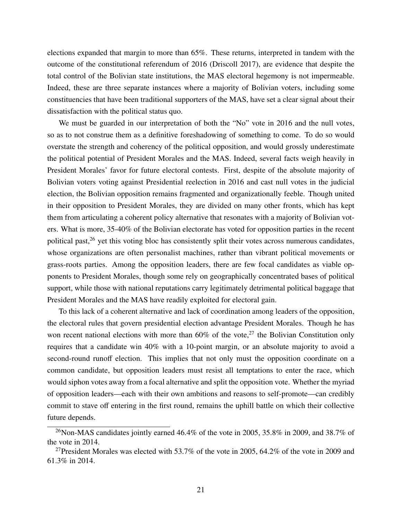elections expanded that margin to more than 65%. These returns, interpreted in tandem with the outcome of the constitutional referendum of 2016 (Driscoll 2017), are evidence that despite the total control of the Bolivian state institutions, the MAS electoral hegemony is not impermeable. Indeed, these are three separate instances where a majority of Bolivian voters, including some constituencies that have been traditional supporters of the MAS, have set a clear signal about their dissatisfaction with the political status quo.

We must be guarded in our interpretation of both the "No" vote in 2016 and the null votes, so as to not construe them as a definitive foreshadowing of something to come. To do so would overstate the strength and coherency of the political opposition, and would grossly underestimate the political potential of President Morales and the MAS. Indeed, several facts weigh heavily in President Morales' favor for future electoral contests. First, despite of the absolute majority of Bolivian voters voting against Presidential reelection in 2016 and cast null votes in the judicial election, the Bolivian opposition remains fragmented and organizationally feeble. Though united in their opposition to President Morales, they are divided on many other fronts, which has kept them from articulating a coherent policy alternative that resonates with a majority of Bolivian voters. What is more, 35-40% of the Bolivian electorate has voted for opposition parties in the recent political past, $^{26}$  $^{26}$  $^{26}$  yet this voting bloc has consistently split their votes across numerous candidates, whose organizations are often personalist machines, rather than vibrant political movements or grass-roots parties. Among the opposition leaders, there are few focal candidates as viable opponents to President Morales, though some rely on geographically concentrated bases of political support, while those with national reputations carry legitimately detrimental political baggage that President Morales and the MAS have readily exploited for electoral gain.

To this lack of a coherent alternative and lack of coordination among leaders of the opposition, the electoral rules that govern presidential election advantage President Morales. Though he has won recent national elections with more than  $60\%$  of the vote,<sup>[27](#page-0-0)</sup> the Bolivian Constitution only requires that a candidate win 40% with a 10-point margin, or an absolute majority to avoid a second-round runoff election. This implies that not only must the opposition coordinate on a common candidate, but opposition leaders must resist all temptations to enter the race, which would siphon votes away from a focal alternative and split the opposition vote. Whether the myriad of opposition leaders—each with their own ambitions and reasons to self-promote—can credibly commit to stave off entering in the first round, remains the uphill battle on which their collective future depends.

<sup>&</sup>lt;sup>26</sup>Non-MAS candidates jointly earned 46.4% of the vote in 2005, 35.8% in 2009, and 38.7% of the vote in 2014.

<sup>&</sup>lt;sup>27</sup>President Morales was elected with 53.7% of the vote in 2005, 64.2% of the vote in 2009 and 61.3% in 2014.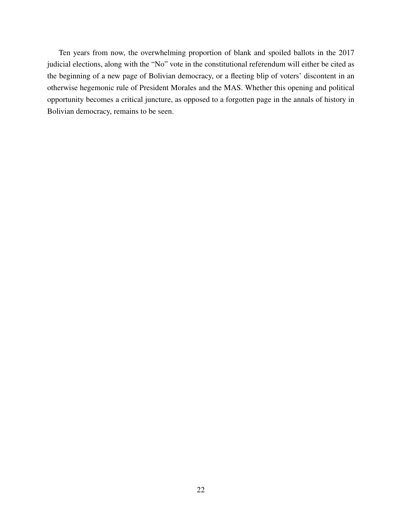Ten years from now, the overwhelming proportion of blank and spoiled ballots in the 2017 judicial elections, along with the "No" vote in the constitutional referendum will either be cited as the beginning of a new page of Bolivian democracy, or a fleeting blip of voters' discontent in an otherwise hegemonic rule of President Morales and the MAS. Whether this opening and political opportunity becomes a critical juncture, as opposed to a forgotten page in the annals of history in Bolivian democracy, remains to be seen.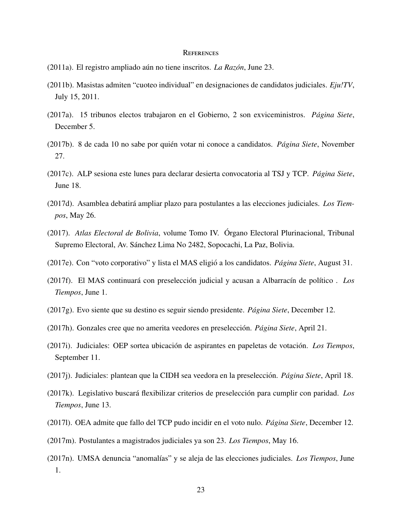#### **REFERENCES**

- (2011a). El registro ampliado aún no tiene inscritos. La Razón, June 23.
- (2011b). Masistas admiten "cuoteo individual" en designaciones de candidatos judiciales. *Eju!TV*, July 15, 2011.
- (2017a). 15 tribunos electos trabajaron en el Gobierno, 2 son exviceministros. *P´agina Siete*, December 5.
- (2017b). 8 de cada 10 no sabe por quién votar ni conoce a candidatos. Página Siete, November 27.
- (2017c). ALP sesiona este lunes para declarar desierta convocatoria al TSJ y TCP. *P ´agina Siete*, June 18.
- (2017d). Asamblea debatira ampliar plazo para postulantes a las elecciones judiciales. ´ *Los Tiempos*, May 26.
- (2017). *Atlas Electoral de Bolivia*, volume Tomo IV. Organo Electoral Plurinacional, Tribunal ´ Supremo Electoral, Av. Sánchez Lima No 2482, Sopocachi, La Paz, Bolivia.
- (2017e). Con "voto corporativo" y lista el MAS eligio a los candidatos. ´ *P ´agina Siete*, August 31.
- (2017f). El MAS continuará con preselección judicial y acusan a Albarracín de político. Los *Tiempos*, June 1.
- (2017g). Evo siente que su destino es seguir siendo presidente. *P ´agina Siete*, December 12.
- (2017h). Gonzales cree que no amerita veedores en preselección. *Página Siete*, April 21.
- (2017i). Judiciales: OEP sortea ubicación de aspirantes en papeletas de votación. Los Tiempos, September 11.
- (2017j). Judiciales: plantean que la CIDH sea veedora en la preselección. *Página Siete*, April 18.
- (2017k). Legislativo buscará flexibilizar criterios de preselección para cumplir con paridad. Los *Tiempos*, June 13.
- (2017l). OEA admite que fallo del TCP pudo incidir en el voto nulo. *P ´agina Siete*, December 12.
- (2017m). Postulantes a magistrados judiciales ya son 23. *Los Tiempos*, May 16.
- (2017n). UMSA denuncia "anomal´ıas" y se aleja de las elecciones judiciales. *Los Tiempos*, June 1.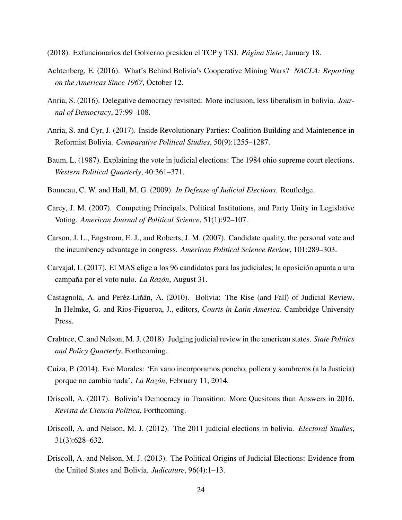(2018). Exfuncionarios del Gobierno presiden el TCP y TSJ. *P´agina Siete*, January 18.

- Achtenberg, E. (2016). What's Behind Bolivia's Cooperative Mining Wars? *NACLA: Reporting on the Americas Since 1967*, October 12.
- <span id="page-23-1"></span>Anria, S. (2016). Delegative democracy revisited: More inclusion, less liberalism in bolivia. *Journal of Democracy*, 27:99–108.
- Anria, S. and Cyr, J. (2017). Inside Revolutionary Parties: Coalition Building and Maintenence in Reformist Bolivia. *Comparative Political Studies*, 50(9):1255–1287.
- Baum, L. (1987). Explaining the vote in judicial elections: The 1984 ohio supreme court elections. *Western Political Quarterly*, 40:361–371.
- Bonneau, C. W. and Hall, M. G. (2009). *In Defense of Judicial Elections*. Routledge.
- Carey, J. M. (2007). Competing Principals, Political Institutions, and Party Unity in Legislative Voting. *American Journal of Political Science*, 51(1):92–107.
- Carson, J. L., Engstrom, E. J., and Roberts, J. M. (2007). Candidate quality, the personal vote and the incumbency advantage in congress. *American Political Science Review*, 101:289–303.
- Carvajal, I. (2017). El MAS elige a los 96 candidatos para las judiciales; la oposicion apunta a una ´ campana por el voto nulo. ˜ *La Raz´on*, August 31.
- Castagnola, A. and Peréz-Liñán, A. (2010). Bolivia: The Rise (and Fall) of Judicial Review. In Helmke, G. and Rios-Figueroa, J., editors, *Courts in Latin America*. Cambridge University Press.
- Crabtree, C. and Nelson, M. J. (2018). Judging judicial review in the american states. *State Politics and Policy Quarterly*, Forthcoming.
- Cuiza, P. (2014). Evo Morales: 'En vano incorporamos poncho, pollera y sombreros (a la Justicia) porque no cambia nada'. *La Raz´on*, February 11, 2014.
- Driscoll, A. (2017). Bolivia's Democracy in Transition: More Quesitons than Answers in 2016. *Revista de Ciencia Pol´ıtica*, Forthcoming.
- <span id="page-23-0"></span>Driscoll, A. and Nelson, M. J. (2012). The 2011 judicial elections in bolivia. *Electoral Studies*, 31(3):628–632.
- Driscoll, A. and Nelson, M. J. (2013). The Political Origins of Judicial Elections: Evidence from the United States and Bolivia. *Judicature*, 96(4):1–13.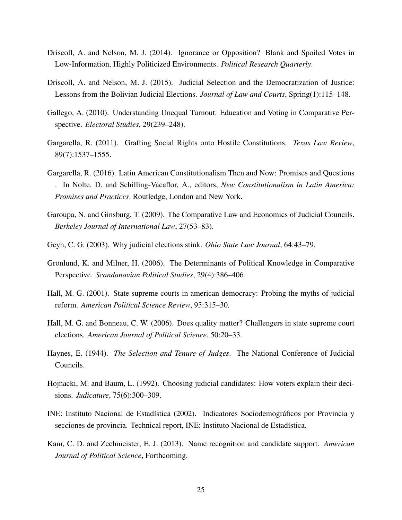- Driscoll, A. and Nelson, M. J. (2014). Ignorance or Opposition? Blank and Spoiled Votes in Low-Information, Highly Politicized Environments. *Political Research Quarterly*.
- <span id="page-24-3"></span>Driscoll, A. and Nelson, M. J. (2015). Judicial Selection and the Democratization of Justice: Lessons from the Bolivian Judicial Elections. *Journal of Law and Courts*, Spring(1):115–148.
- Gallego, A. (2010). Understanding Unequal Turnout: Education and Voting in Comparative Perspective. *Electoral Studies*, 29(239–248).
- <span id="page-24-0"></span>Gargarella, R. (2011). Grafting Social Rights onto Hostile Constitutions. *Texas Law Review*, 89(7):1537–1555.
- <span id="page-24-1"></span>Gargarella, R. (2016). Latin American Constitutionalism Then and Now: Promises and Questions . In Nolte, D. and Schilling-Vacaflor, A., editors, *New Constitutionalism in Latin America: Promises and Practices*. Routledge, London and New York.
- <span id="page-24-2"></span>Garoupa, N. and Ginsburg, T. (2009). The Comparative Law and Economics of Judicial Councils. *Berkeley Journal of International Law*, 27(53–83).
- Geyh, C. G. (2003). Why judicial elections stink. *Ohio State Law Journal*, 64:43–79.
- Grönlund, K. and Milner, H. (2006). The Determinants of Political Knowledge in Comparative Perspective. *Scandanavian Political Studies*, 29(4):386–406.
- Hall, M. G. (2001). State supreme courts in american democracy: Probing the myths of judicial reform. *American Political Science Review*, 95:315–30.
- Hall, M. G. and Bonneau, C. W. (2006). Does quality matter? Challengers in state supreme court elections. *American Journal of Political Science*, 50:20–33.
- Haynes, E. (1944). *The Selection and Tenure of Judges*. The National Conference of Judicial Councils.
- Hojnacki, M. and Baum, L. (1992). Choosing judicial candidates: How voters explain their decisions. *Judicature*, 75(6):300–309.
- INE: Instituto Nacional de Estadística (2002). Indicatores Sociodemográficos por Provincia y secciones de provincia. Technical report, INE: Instituto Nacional de Estadística.
- Kam, C. D. and Zechmeister, E. J. (2013). Name recognition and candidate support. *American Journal of Political Science*, Forthcoming.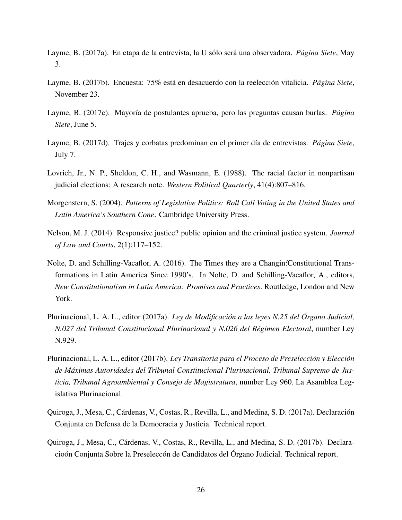- Layme, B. (2017a). En etapa de la entrevista, la U sólo será una observadora. *Página Siete*, May 3.
- Layme, B. (2017b). Encuesta: 75% está en desacuerdo con la reelección vitalicia. Página Siete, November 23.
- Layme, B. (2017c). Mayoría de postulantes aprueba, pero las preguntas causan burlas. *Página Siete*, June 5.
- Layme, B. (2017d). Trajes y corbatas predominan en el primer día de entrevistas. *Página Siete*, July 7.
- Lovrich, Jr., N. P., Sheldon, C. H., and Wasmann, E. (1988). The racial factor in nonpartisan judicial elections: A research note. *Western Political Quarterly*, 41(4):807–816.
- Morgenstern, S. (2004). *Patterns of Legislative Politics: Roll Call Voting in the United States and Latin America's Southern Cone*. Cambridge University Press.
- Nelson, M. J. (2014). Responsive justice? public opinion and the criminal justice system. *Journal of Law and Courts*, 2(1):117–152.
- <span id="page-25-0"></span>Nolte, D. and Schilling-Vacaflor, A. (2016). The Times they are a Changin: Constitutional Transformations in Latin America Since 1990's. In Nolte, D. and Schilling-Vacaflor, A., editors, *New Constitutionalism in Latin America: Promises and Practices*. Routledge, London and New York.
- Plurinacional, L. A. L., editor (2017a). *Ley de Modificación a las leyes N.25 del Órgano Judicial*, *N.027 del Tribunal Constitucional Plurinacional y N.026 del R´egimen Electoral*, number Ley N.929.
- Plurinacional, L. A. L., editor (2017b). *Ley Transitoria para el Proceso de Preselección y Elección de M´aximas Autoridades del Tribunal Constitucional Plurinacional, Tribunal Supremo de Justicia, Tribunal Agroambiental y Consejo de Magistratura*, number Ley 960. La Asamblea Legislativa Plurinacional.
- Quiroga, J., Mesa, C., Cárdenas, V., Costas, R., Revilla, L., and Medina, S. D. (2017a). Declaración Conjunta en Defensa de la Democracia y Justicia. Technical report.
- Quiroga, J., Mesa, C., Cárdenas, V., Costas, R., Revilla, L., and Medina, S. D. (2017b). Declaracioón Conjunta Sobre la Preseleccón de Candidatos del Órgano Judicial. Technical report.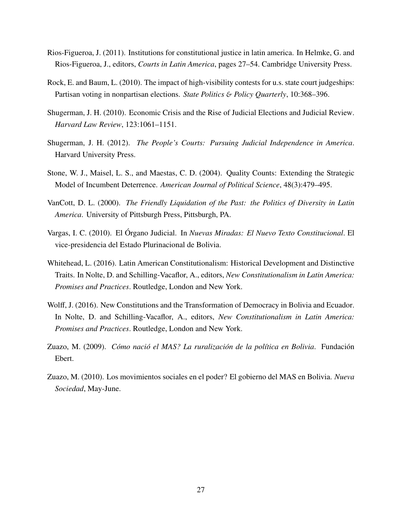- <span id="page-26-0"></span>Rios-Figueroa, J. (2011). Institutions for constitutional justice in latin america. In Helmke, G. and Rios-Figueroa, J., editors, *Courts in Latin America*, pages 27–54. Cambridge University Press.
- Rock, E. and Baum, L. (2010). The impact of high-visibility contests for u.s. state court judgeships: Partisan voting in nonpartisan elections. *State Politics* & *Policy Quarterly*, 10:368–396.
- Shugerman, J. H. (2010). Economic Crisis and the Rise of Judicial Elections and Judicial Review. *Harvard Law Review*, 123:1061–1151.
- Shugerman, J. H. (2012). *The People's Courts: Pursuing Judicial Independence in America*. Harvard University Press.
- Stone, W. J., Maisel, L. S., and Maestas, C. D. (2004). Quality Counts: Extending the Strategic Model of Incumbent Deterrence. *American Journal of Political Science*, 48(3):479–495.
- <span id="page-26-1"></span>VanCott, D. L. (2000). *The Friendly Liquidation of the Past: the Politics of Diversity in Latin America*. University of Pittsburgh Press, Pittsburgh, PA.
- Vargas, I. C. (2010). El Órgano Judicial. In *Nuevas Miradas: El Nuevo Texto Constitucional*. El vice-presidencia del Estado Plurinacional de Bolivia.
- Whitehead, L. (2016). Latin American Constitutionalism: Historical Development and Distinctive Traits. In Nolte, D. and Schilling-Vacaflor, A., editors, *New Constitutionalism in Latin America: Promises and Practices*. Routledge, London and New York.
- <span id="page-26-2"></span>Wolff, J. (2016). New Constitutions and the Transformation of Democracy in Bolivia and Ecuador. In Nolte, D. and Schilling-Vacaflor, A., editors, *New Constitutionalism in Latin America: Promises and Practices*. Routledge, London and New York.
- Zuazo, M. (2009). *Cómo nació el MAS? La ruralización de la política en Bolivia*. Fundación Ebert.
- Zuazo, M. (2010). Los movimientos sociales en el poder? El gobierno del MAS en Bolivia. *Nueva Sociedad*, May-June.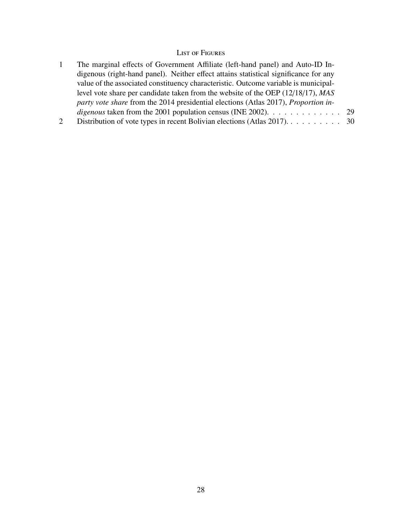# List of Figures

|   | The marginal effects of Government Affiliate (left-hand panel) and Auto-ID In-                    |  |
|---|---------------------------------------------------------------------------------------------------|--|
|   | digenous (right-hand panel). Neither effect attains statistical significance for any              |  |
|   | value of the associated constituency characteristic. Outcome variable is municipal-               |  |
|   | level vote share per candidate taken from the website of the OEP (12/18/17), MAS                  |  |
|   | party vote share from the 2014 presidential elections (Atlas 2017), Proportion in-                |  |
|   | <i>digenous</i> taken from the 2001 population census (INE 2002). $\dots \dots \dots \dots \dots$ |  |
| 2 | Distribution of vote types in recent Bolivian elections (Atlas 2017). $\dots \dots \dots$ 30      |  |
|   |                                                                                                   |  |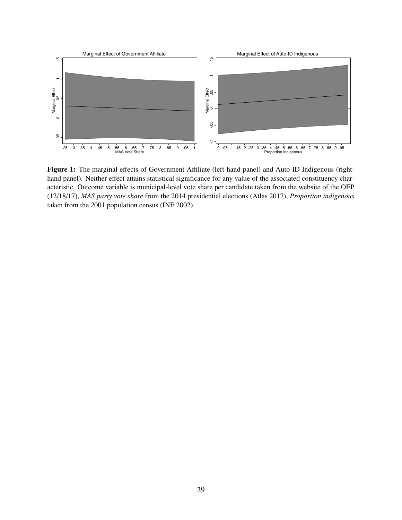<span id="page-28-0"></span>

Figure 1: The marginal effects of Government Affiliate (left-hand panel) and Auto-ID Indigenous (righthand panel). Neither effect attains statistical significance for any value of the associated constituency characteristic. Outcome variable is municipal-level vote share per candidate taken from the website of the OEP (12/18/17), *MAS party vote share* from the 2014 presidential elections (Atlas 2017), *Proportion indigenous* taken from the 2001 population census (INE 2002).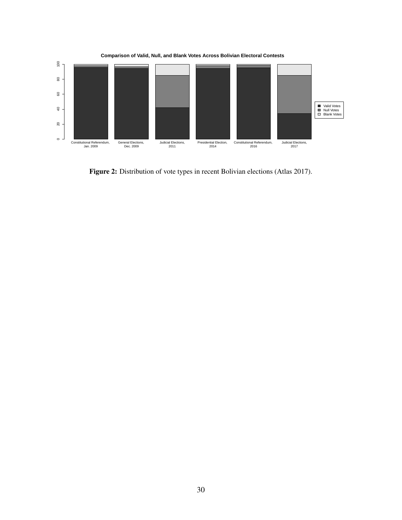<span id="page-29-0"></span>

Figure 2: Distribution of vote types in recent Bolivian elections (Atlas 2017).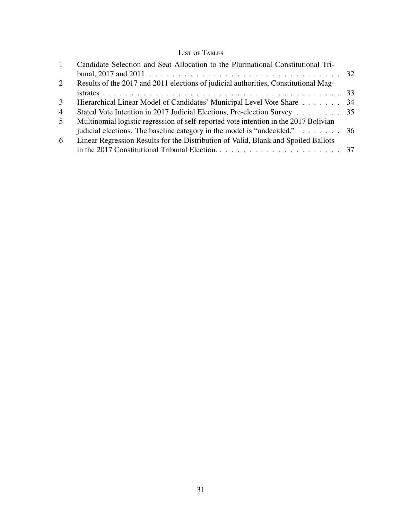# List of Tables

| $\mathbf{1}$   | Candidate Selection and Seat Allocation to the Plurinational Constitutional Tri-     |  |
|----------------|--------------------------------------------------------------------------------------|--|
|                |                                                                                      |  |
| 2              | Results of the 2017 and 2011 elections of judicial authorities, Constitutional Mag-  |  |
|                |                                                                                      |  |
| 3              | Hierarchical Linear Model of Candidates' Municipal Level Vote Share 34               |  |
| $\overline{4}$ | Stated Vote Intention in 2017 Judicial Elections, Pre-election Survey 35             |  |
| $5^{\circ}$    | Multinomial logistic regression of self-reported vote intention in the 2017 Bolivian |  |
|                | judicial elections. The baseline category in the model is "undecided." 36            |  |
| 6              | Linear Regression Results for the Distribution of Valid, Blank and Spoiled Ballots   |  |
|                |                                                                                      |  |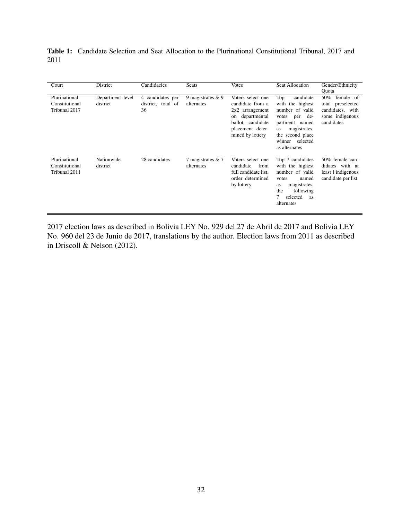<span id="page-31-0"></span>Table 1: Candidate Selection and Seat Allocation to the Plurinational Constitutional Tribunal, 2017 and 2011

| Court                                            | District                     | Candidacies                                  | <b>Seats</b>                      | <b>Votes</b>                                                                                     | <b>Seat Allocation</b>                                                                                                                              | Gender/Ethnicity<br>Ouota                                                      |
|--------------------------------------------------|------------------------------|----------------------------------------------|-----------------------------------|--------------------------------------------------------------------------------------------------|-----------------------------------------------------------------------------------------------------------------------------------------------------|--------------------------------------------------------------------------------|
| Plurinational<br>Constitutional<br>Tribunal 2017 | Department level<br>district | 4 candidates per<br>district, total of<br>36 | 9 magistrates $& 9$<br>alternates | Voters select one<br>candidate from a<br>2x2 arrangement<br>departmental<br>on                   | Top<br>candidate<br>with the highest<br>number of valid<br>de-<br>votes<br>per                                                                      | 50%<br>female of<br>total preselected<br>candidates, with<br>some indigenous   |
|                                                  |                              |                                              |                                   | ballot, candidate<br>placement deter-<br>mined by lottery                                        | partment named<br>magistrates,<br>as<br>the second place<br>selected<br>winner<br>as alternates                                                     | candidates                                                                     |
| Plurinational<br>Constitutional<br>Tribunal 2011 | Nationwide<br>district       | 28 candidates                                | 7 magistrates & 7<br>alternates   | Voters select one<br>candidate<br>from<br>full candidate list.<br>order determined<br>by lottery | Top 7 candidates<br>with the highest<br>number of valid<br>named<br>votes<br>magistrates,<br>as<br>the<br>following<br>selected<br>as<br>alternates | 50% female can-<br>didates with at<br>least 1 indigenous<br>candidate per list |

2017 election laws as described in Bolivia LEY No. 929 del 27 de Abril de 2017 and Bolivia LEY No. 960 del 23 de Junio de 2017, translations by the author. Election laws from 2011 as described in Driscoll & Nelson (2012).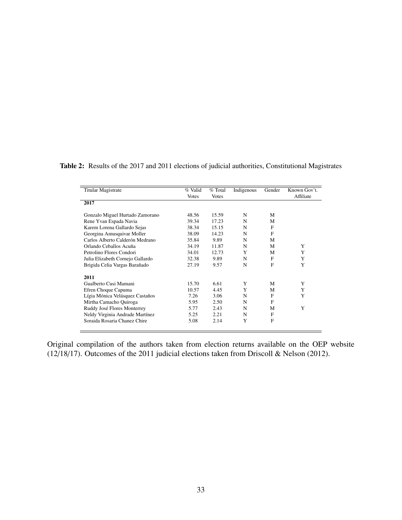<span id="page-32-0"></span>

| Table 2: Results of the 2017 and 2011 elections of judicial authorities, Constitutional Magistrates |  |  |
|-----------------------------------------------------------------------------------------------------|--|--|
|-----------------------------------------------------------------------------------------------------|--|--|

| <b>Titular Magistrate</b>        | % Valid      | $%$ Total    | Indigenous | Gender | Known Gov't. |
|----------------------------------|--------------|--------------|------------|--------|--------------|
|                                  | <b>Votes</b> | <b>Votes</b> |            |        | Affiliate    |
| 2017                             |              |              |            |        |              |
| Gonzalo Miguel Hurtado Zamorano  | 48.56        | 15.59        | N          | М      |              |
| Rene Yvan Espada Navia           | 39.34        | 17.23        | N          | М      |              |
| Karem Lorena Gallardo Sejas      | 38.34        | 15.15        | N          | F      |              |
| Georgina Amusquivar Moller       | 38.09        | 14.23        | N          | F      |              |
| Carlos Alberto Calderón Medrano  | 35.84        | 9.89         | N          | М      |              |
| Orlando Ceballos Acuña           | 34.19        | 11.87        | N          | M      | Y            |
| Petrolino Flores Condori         | 34.01        | 12.73        | Y          | М      | Y            |
| Julia Elizabeth Cornejo Gallardo | 32.38        | 9.89         | N          | F      | Y            |
| Brigida Celia Vargas Barañado    | 27.19        | 9.57         | N          | F      | Y            |
| 2011                             |              |              |            |        |              |
| Gualberto Cusi Mamani            | 15.70        | 6.61         | Y          | M      | Y            |
| Efren Choque Capuma              | 10.57        | 4.45         | Y          | М      | Y            |
| Lígia Mónica Velásquez Castaños  | 7.26         | 3.06         | N          | F      | Y            |
| Mirtha Camacho Quiroga           | 5.95         | 2.50         | N          | F      |              |
| Ruddy José Flores Monterrey      | 5.77         | 2.43         | N          | М      | Y            |
| Neldy Virginia Andrade Martínez  | 5.25         | 2.21         | N          | F      |              |
| Soraida Rosaria Chanez Chire     | 5.08         | 2.14         | Y          | F      |              |
|                                  |              |              |            |        |              |

Original compilation of the authors taken from election returns available on the OEP website (12/18/17). Outcomes of the 2011 judicial elections taken from Driscoll & Nelson (2012).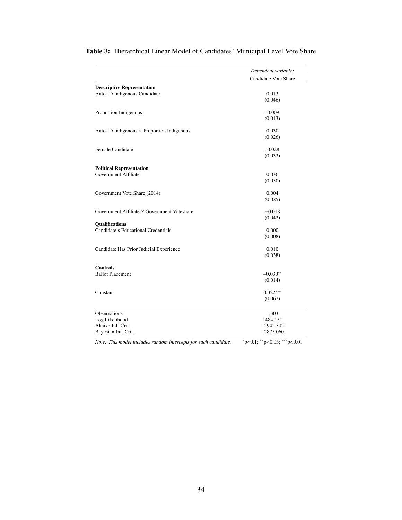|                                                             | Dependent variable:                                                         |
|-------------------------------------------------------------|-----------------------------------------------------------------------------|
|                                                             | Candidate Vote Share                                                        |
| <b>Descriptive Representation</b>                           |                                                                             |
| Auto-ID Indigenous Candidate                                | 0.013                                                                       |
|                                                             | (0.046)                                                                     |
| Proportion Indigenous                                       | $-0.009$                                                                    |
|                                                             | (0.013)                                                                     |
| Auto-ID Indigenous × Proportion Indigenous                  | 0.030                                                                       |
|                                                             | (0.026)                                                                     |
| Female Candidate                                            | $-0.028$                                                                    |
|                                                             | (0.032)                                                                     |
| <b>Political Representation</b>                             |                                                                             |
| Government Affiliate                                        | 0.036                                                                       |
|                                                             | (0.050)                                                                     |
| Government Vote Share (2014)                                | 0.004                                                                       |
|                                                             | (0.025)                                                                     |
| Government Affiliate $\times$ Government Voteshare          | $-0.018$                                                                    |
|                                                             | (0.042)                                                                     |
| <b>Qualifications</b>                                       |                                                                             |
| Candidate's Educational Credentials                         | 0.000<br>(0.008)                                                            |
|                                                             |                                                                             |
| Candidate Has Prior Judicial Experience                     | 0.010                                                                       |
|                                                             | (0.038)                                                                     |
| <b>Controls</b>                                             |                                                                             |
| <b>Ballot Placement</b>                                     | $-0.030**$                                                                  |
|                                                             | (0.014)                                                                     |
| Constant                                                    | $0.322***$                                                                  |
|                                                             | (0.067)                                                                     |
| Observations                                                | 1,303                                                                       |
| Log Likelihood                                              | 1484.151                                                                    |
| Akaike Inf. Crit.                                           | $-2942.302$                                                                 |
| Bayesian Inf. Crit.                                         | $-2875.060$                                                                 |
| da fan aask aan didata<br>Mata, This model in Judeo nondern | $*_{\infty}$ $\sim$ 0.1, $*_{\infty}$ $\sim$ 0.05, $*_{\infty}$ $\sim$ 0.01 |

<span id="page-33-0"></span>Table 3: Hierarchical Linear Model of Candidates' Municipal Level Vote Share

*Note: This model includes random intercepts for each candidate.* <sup>∗</sup>p<0.1; ∗∗p<0.05; ∗∗∗p<0.01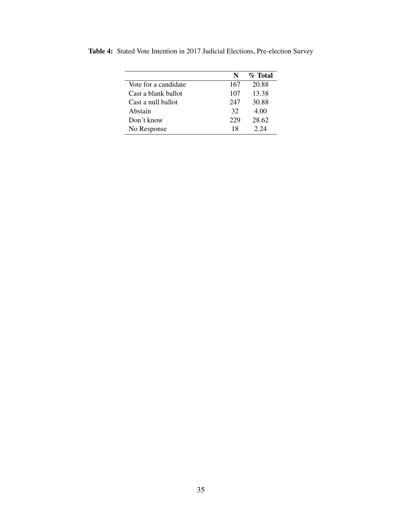|                      | N   | $\%$ Total |
|----------------------|-----|------------|
| Vote for a candidate | 167 | 20.88      |
| Cast a blank ballot  | 107 | 13.38      |
| Cast a null ballot   | 247 | 30.88      |
| Abstain              | 32  | 4.00       |
| Don't know           | 229 | 28.62      |
| No Response          | 18  | 2.24       |

<span id="page-34-0"></span>Table 4: Stated Vote Intention in 2017 Judicial Elections, Pre-election Survey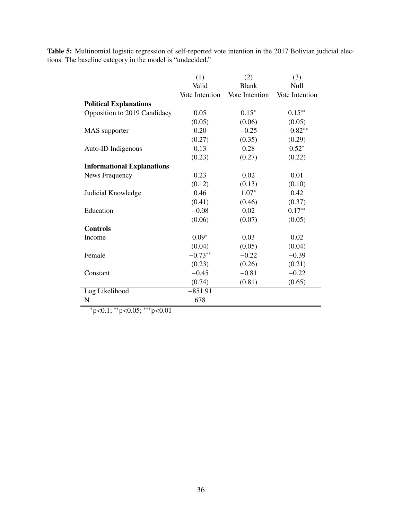| Valid<br><b>Blank</b><br>Null<br>Vote Intention<br>Vote Intention<br>Vote Intention<br><b>Political Explanations</b><br>Opposition to 2019 Candidacy<br>0.05<br>$0.15*$<br>$0.15***$<br>(0.05)<br>(0.06)<br>(0.05)<br>$-0.25$<br>$-0.82**$<br>0.20<br>MAS supporter |  |
|---------------------------------------------------------------------------------------------------------------------------------------------------------------------------------------------------------------------------------------------------------------------|--|
|                                                                                                                                                                                                                                                                     |  |
|                                                                                                                                                                                                                                                                     |  |
|                                                                                                                                                                                                                                                                     |  |
|                                                                                                                                                                                                                                                                     |  |
|                                                                                                                                                                                                                                                                     |  |
|                                                                                                                                                                                                                                                                     |  |
| (0.35)<br>(0.27)<br>(0.29)                                                                                                                                                                                                                                          |  |
| $0.52*$<br>0.13<br>0.28<br>Auto-ID Indigenous                                                                                                                                                                                                                       |  |
| (0.22)<br>(0.23)<br>(0.27)                                                                                                                                                                                                                                          |  |
| <b>Informational Explanations</b>                                                                                                                                                                                                                                   |  |
| 0.23<br>0.02<br>0.01<br>News Frequency                                                                                                                                                                                                                              |  |
| (0.12)<br>(0.13)<br>(0.10)                                                                                                                                                                                                                                          |  |
| 0.46<br>$1.07*$<br>0.42<br>Judicial Knowledge                                                                                                                                                                                                                       |  |
| (0.41)<br>(0.46)<br>(0.37)                                                                                                                                                                                                                                          |  |
| $0.17**$<br>Education<br>$-0.08$<br>0.02                                                                                                                                                                                                                            |  |
| (0.06)<br>(0.07)<br>(0.05)                                                                                                                                                                                                                                          |  |
| <b>Controls</b>                                                                                                                                                                                                                                                     |  |
| $0.09*$<br>0.03<br>0.02<br>Income                                                                                                                                                                                                                                   |  |
| (0.04)<br>(0.05)<br>(0.04)                                                                                                                                                                                                                                          |  |
| $-0.73**$<br>$-0.22$<br>Female<br>$-0.39$                                                                                                                                                                                                                           |  |
| (0.23)<br>(0.26)<br>(0.21)                                                                                                                                                                                                                                          |  |
| $-0.45$<br>$-0.81$<br>$-0.22$<br>Constant                                                                                                                                                                                                                           |  |
| (0.65)<br>(0.74)<br>(0.81)                                                                                                                                                                                                                                          |  |
| $-851.91$<br>Log Likelihood                                                                                                                                                                                                                                         |  |
| 678<br>N                                                                                                                                                                                                                                                            |  |

<span id="page-35-0"></span>Table 5: Multinomial logistic regression of self-reported vote intention in the 2017 Bolivian judicial elections. The baseline category in the model is "undecided."

<sup>∗</sup>p<0.1; ∗∗p<0.05; ∗∗∗p<0.01